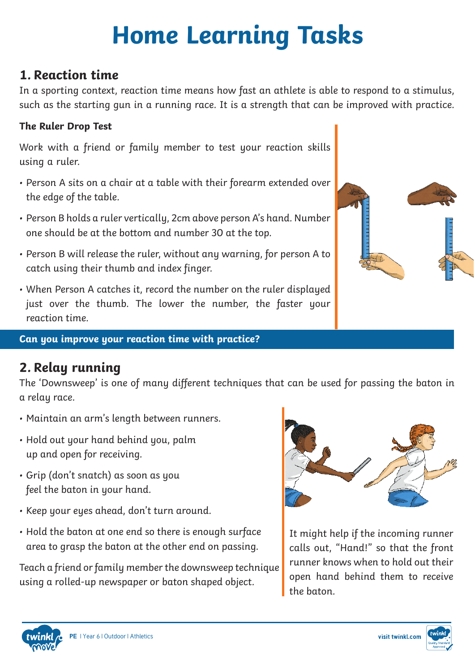# **Home Learning Tasks**

## **1. Reaction time**

In a sporting context, reaction time means how fast an athlete is able to respond to a stimulus, such as the starting gun in a running race. It is a strength that can be improved with practice.

#### **The Ruler Drop Test**

Work with a friend or family member to test your reaction skills using a ruler.

- Person A sits on a chair at a table with their forearm extended over the edge of the table.
- Person B holds a ruler vertically, 2cm above person A's hand. Number one should be at the bottom and number 30 at the top.
- Person B will release the ruler, without any warning, for person A to catch using their thumb and index finger.
- When Person A catches it, record the number on the ruler displayed just over the thumb. The lower the number, the faster your reaction time.

#### **Can you improve your reaction time with practice?**

## **2. Relay running**

The 'Downsweep' is one of many different techniques that can be used for passing the baton in a relay race.

- Maintain an arm's length between runners.
- Hold out your hand behind you, palm up and open for receiving.
- Grip (don't snatch) as soon as you feel the baton in your hand.
- Keep your eyes ahead, don't turn around.
- Hold the baton at one end so there is enough surface area to grasp the baton at the other end on passing.

Teach a friend or family member the downsweep technique using a rolled-up newspaper or baton shaped object.



It might help if the incoming runner calls out, "Hand!" so that the front runner knows when to hold out their open hand behind them to receive the baton.





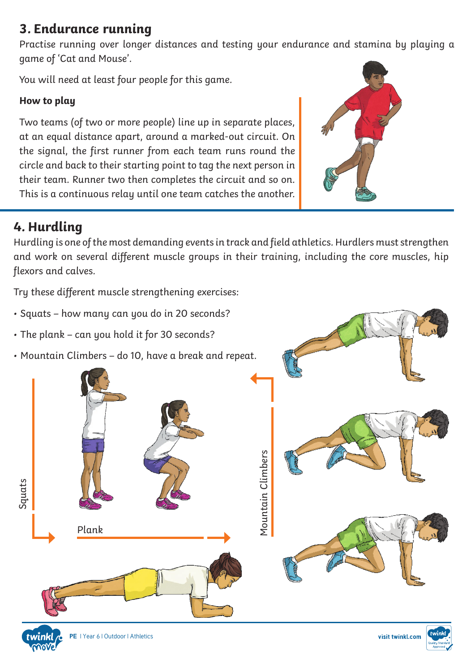# **3. Endurance running**

Practise running over longer distances and testing your endurance and stamina by playing a game of 'Cat and Mouse'.

You will need at least four people for this game.

### **How to play**

Two teams (of two or more people) line up in separate places, at an equal distance apart, around a marked-out circuit. On the signal, the first runner from each team runs round the circle and back to their starting point to tag the next person in their team. Runner two then completes the circuit and so on. This is a continuous relay until one team catches the another.



#### Can you improve your reaction time with practice? **4. Hurdling**

Hurdling is one of the most demanding events in track and field athletics. Hurdlers must strengthen and work on several different muscle groups in their training, including the core muscles, hip flexors and calves.

Try these different muscle strengthening exercises:

- Squats how many can you do in 20 seconds?
- The plank can you hold it for 30 seconds?
- Mountain Climbers do 10, have a break and repeat.